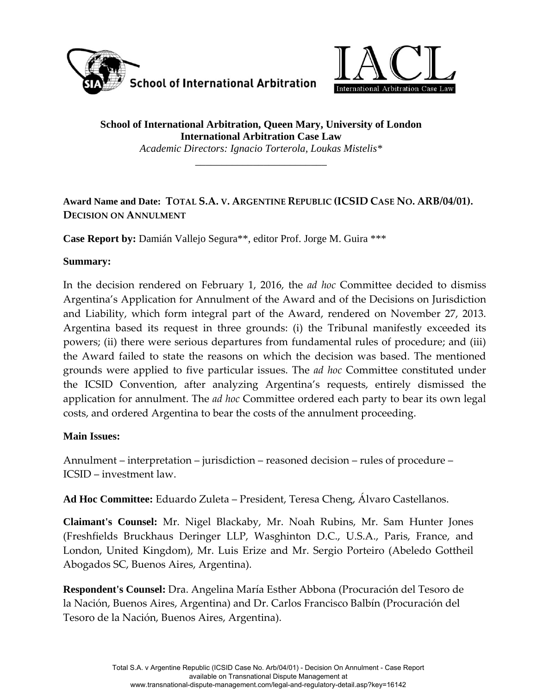



**School of International Arbitration, Queen Mary, University of London International Arbitration Case Law** 

*Academic Directors: Ignacio Torterola, Loukas Mistelis\**  \_\_\_\_\_\_\_\_\_\_\_\_\_\_\_\_\_\_\_\_\_\_\_\_\_

## **Award Name and Date: TOTAL S.A. V. ARGENTINE REPUBLIC (ICSID CASE NO. ARB/04/01). DECISION ON ANNULMENT**

**Case Report by:** Damián Vallejo Segura\*\*, editor Prof. Jorge M. Guira \*\*\*

#### **Summary:**

In the decision rendered on February 1, 2016, the *ad hoc* Committee decided to dismiss Argentina's Application for Annulment of the Award and of the Decisions on Jurisdiction and Liability, which form integral part of the Award, rendered on November 27, 2013. Argentina based its request in three grounds: (i) the Tribunal manifestly exceeded its powers; (ii) there were serious departures from fundamental rules of procedure; and (iii) the Award failed to state the reasons on which the decision was based. The mentioned grounds were applied to five particular issues. The *ad hoc* Committee constituted under the ICSID Convention, after analyzing Argentina's requests, entirely dismissed the application for annulment. The *ad hoc* Committee ordered each party to bear its own legal costs, and ordered Argentina to bear the costs of the annulment proceeding.

#### **Main Issues:**

Annulment – interpretation – jurisdiction – reasoned decision – rules of procedure – ICSID – investment law.

**Ad Hoc Committee:** Eduardo Zuleta – President, Teresa Cheng, Álvaro Castellanos.

**Claimant's Counsel:** Mr. Nigel Blackaby, Mr. Noah Rubins, Mr. Sam Hunter Jones (Freshfields Bruckhaus Deringer LLP, Wasghinton D.C., U.S.A., Paris, France, and London, United Kingdom), Mr. Luis Erize and Mr. Sergio Porteiro (Abeledo Gottheil Abogados SC, Buenos Aires, Argentina).

**Respondent's Counsel:** Dra. Angelina María Esther Abbona (Procuración del Tesoro de la Nación, Buenos Aires, Argentina) and Dr. Carlos Francisco Balbín (Procuración del Tesoro de la Nación, Buenos Aires, Argentina).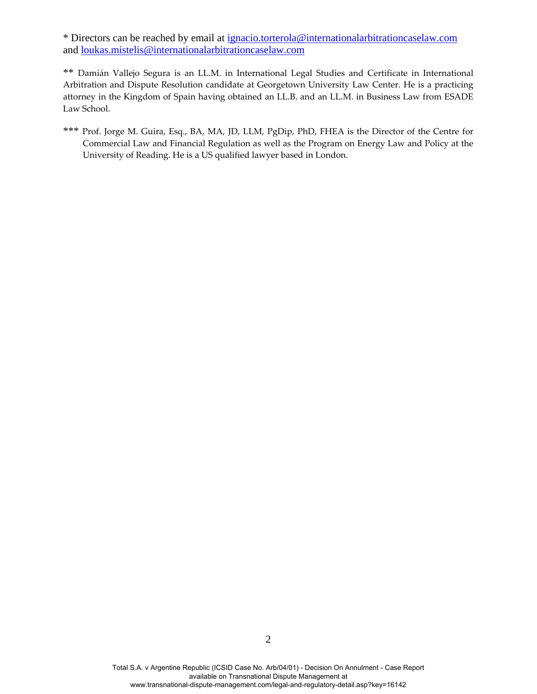\* Directors can be reached by email at ignacio.torterola@internationalarbitrationcaselaw.com and loukas.mistelis@internationalarbitrationcaselaw.com

\*\* Damián Vallejo Segura is an LL.M. in International Legal Studies and Certificate in International Arbitration and Dispute Resolution candidate at Georgetown University Law Center. He is a practicing attorney in the Kingdom of Spain having obtained an LL.B. and an LL.M. in Business Law from ESADE Law School.

\*\*\* Prof. Jorge M. Guira, Esq., BA, MA, JD, LLM, PgDip, PhD, FHEA is the Director of the Centre for Commercial Law and Financial Regulation as well as the Program on Energy Law and Policy at the University of Reading. He is a US qualified lawyer based in London.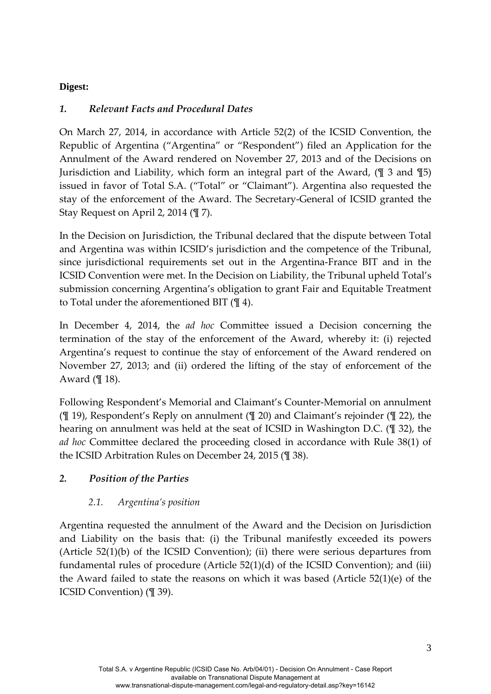## **Digest:**

#### *1. Relevant Facts and Procedural Dates*

On March 27, 2014, in accordance with Article 52(2) of the ICSID Convention, the Republic of Argentina ("Argentina" or "Respondent") filed an Application for the Annulment of the Award rendered on November 27, 2013 and of the Decisions on Jurisdiction and Liability, which form an integral part of the Award, (¶ 3 and ¶5) issued in favor of Total S.A. ("Total" or "Claimant"). Argentina also requested the stay of the enforcement of the Award. The Secretary‐General of ICSID granted the Stay Request on April 2, 2014 (¶ 7).

In the Decision on Jurisdiction, the Tribunal declared that the dispute between Total and Argentina was within ICSID's jurisdiction and the competence of the Tribunal, since jurisdictional requirements set out in the Argentina‐France BIT and in the ICSID Convention were met. In the Decision on Liability, the Tribunal upheld Total's submission concerning Argentina's obligation to grant Fair and Equitable Treatment to Total under the aforementioned BIT (¶ 4).

In December 4, 2014, the *ad hoc* Committee issued a Decision concerning the termination of the stay of the enforcement of the Award, whereby it: (i) rejected Argentina's request to continue the stay of enforcement of the Award rendered on November 27, 2013; and (ii) ordered the lifting of the stay of enforcement of the Award (¶ 18).

Following Respondent's Memorial and Claimant's Counter‐Memorial on annulment (¶ 19), Respondent's Reply on annulment (¶ 20) and Claimant's rejoinder (¶ 22), the hearing on annulment was held at the seat of ICSID in Washington D.C. (¶ 32), the *ad hoc* Committee declared the proceeding closed in accordance with Rule 38(1) of the ICSID Arbitration Rules on December 24, 2015 (¶ 38).

## *2. Position of the Parties*

## *2.1. Argentina's position*

Argentina requested the annulment of the Award and the Decision on Jurisdiction and Liability on the basis that: (i) the Tribunal manifestly exceeded its powers (Article 52(1)(b) of the ICSID Convention); (ii) there were serious departures from fundamental rules of procedure (Article 52(1)(d) of the ICSID Convention); and (iii) the Award failed to state the reasons on which it was based (Article 52(1)(e) of the ICSID Convention) (¶ 39).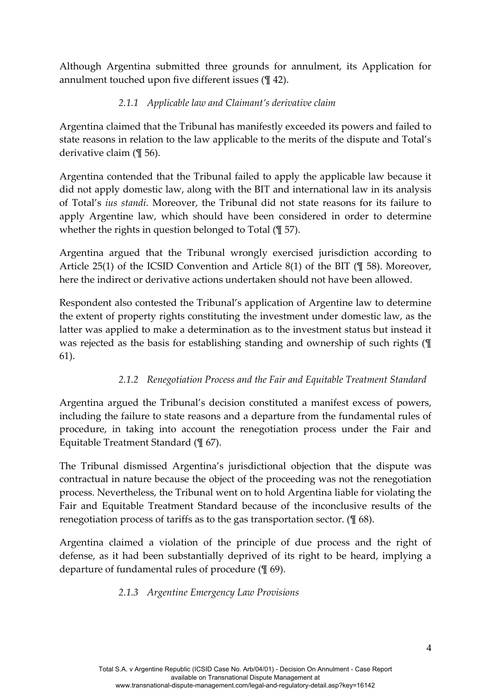Although Argentina submitted three grounds for annulment, its Application for annulment touched upon five different issues (¶ 42).

# *2.1.1 Applicable law and Claimant's derivative claim*

Argentina claimed that the Tribunal has manifestly exceeded its powers and failed to state reasons in relation to the law applicable to the merits of the dispute and Total's derivative claim (¶ 56).

Argentina contended that the Tribunal failed to apply the applicable law because it did not apply domestic law, along with the BIT and international law in its analysis of Total's *ius standi*. Moreover, the Tribunal did not state reasons for its failure to apply Argentine law, which should have been considered in order to determine whether the rights in question belonged to Total (¶ 57).

Argentina argued that the Tribunal wrongly exercised jurisdiction according to Article 25(1) of the ICSID Convention and Article 8(1) of the BIT (¶ 58). Moreover, here the indirect or derivative actions undertaken should not have been allowed.

Respondent also contested the Tribunal's application of Argentine law to determine the extent of property rights constituting the investment under domestic law, as the latter was applied to make a determination as to the investment status but instead it was rejected as the basis for establishing standing and ownership of such rights (¶ 61).

## *2.1.2 Renegotiation Process and the Fair and Equitable Treatment Standard*

Argentina argued the Tribunal's decision constituted a manifest excess of powers, including the failure to state reasons and a departure from the fundamental rules of procedure, in taking into account the renegotiation process under the Fair and Equitable Treatment Standard (¶ 67).

The Tribunal dismissed Argentina's jurisdictional objection that the dispute was contractual in nature because the object of the proceeding was not the renegotiation process. Nevertheless, the Tribunal went on to hold Argentina liable for violating the Fair and Equitable Treatment Standard because of the inconclusive results of the renegotiation process of tariffs as to the gas transportation sector. (¶ 68).

Argentina claimed a violation of the principle of due process and the right of defense, as it had been substantially deprived of its right to be heard, implying a departure of fundamental rules of procedure (¶ 69).

## *2.1.3 Argentine Emergency Law Provisions*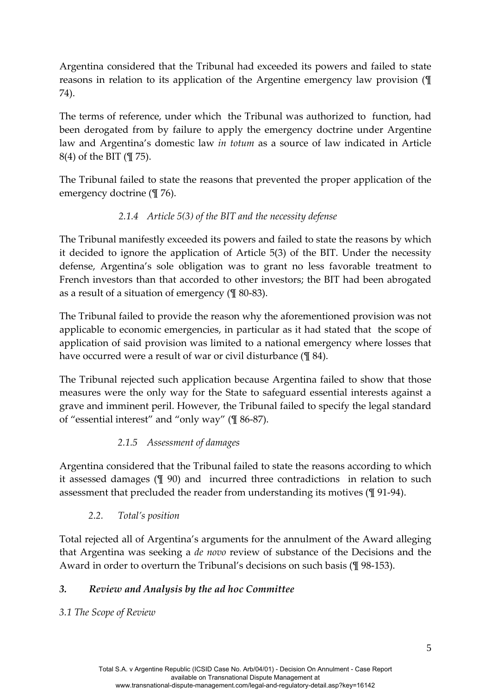Argentina considered that the Tribunal had exceeded its powers and failed to state reasons in relation to its application of the Argentine emergency law provision (¶ 74).

The terms of reference, under which the Tribunal was authorized to function, had been derogated from by failure to apply the emergency doctrine under Argentine law and Argentina's domestic law *in totum* as a source of law indicated in Article 8(4) of the BIT (¶ 75).

The Tribunal failed to state the reasons that prevented the proper application of the emergency doctrine (¶ 76).

# *2.1.4 Article 5(3) of the BIT and the necessity defense*

The Tribunal manifestly exceeded its powers and failed to state the reasons by which it decided to ignore the application of Article 5(3) of the BIT. Under the necessity defense, Argentina's sole obligation was to grant no less favorable treatment to French investors than that accorded to other investors; the BIT had been abrogated as a result of a situation of emergency (¶ 80‐83).

The Tribunal failed to provide the reason why the aforementioned provision was not applicable to economic emergencies, in particular as it had stated that the scope of application of said provision was limited to a national emergency where losses that have occurred were a result of war or civil disturbance ( $\mathcal{I}$  84).

The Tribunal rejected such application because Argentina failed to show that those measures were the only way for the State to safeguard essential interests against a grave and imminent peril. However, the Tribunal failed to specify the legal standard of "essential interest" and "only way" (¶ 86‐87).

# *2.1.5 Assessment of damages*

Argentina considered that the Tribunal failed to state the reasons according to which it assessed damages (¶ 90) and incurred three contradictions in relation to such assessment that precluded the reader from understanding its motives (¶ 91‐94).

# *2.2. Total's position*

Total rejected all of Argentina's arguments for the annulment of the Award alleging that Argentina was seeking a *de novo* review of substance of the Decisions and the Award in order to overturn the Tribunal's decisions on such basis (¶ 98‐153).

# *3. Review and Analysis by the ad hoc Committee*

*3.1 The Scope of Review*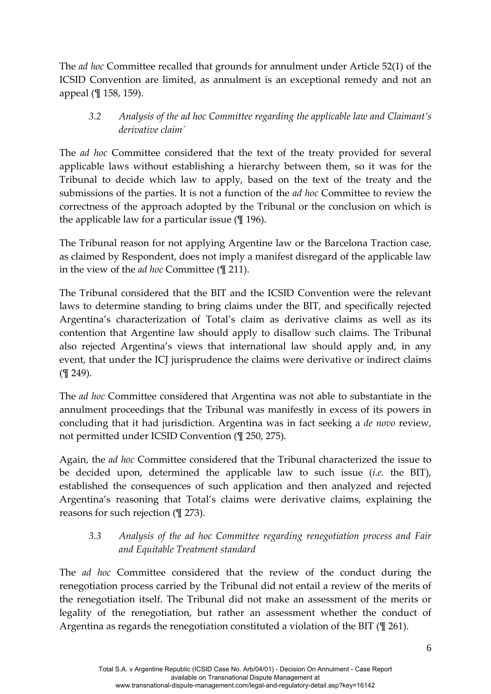The *ad hoc* Committee recalled that grounds for annulment under Article 52(1) of the ICSID Convention are limited, as annulment is an exceptional remedy and not an appeal (¶ 158, 159).

## *3.2 Analysis of the ad hoc Committee regarding the applicable law and Claimant's derivative claim`*

The *ad hoc* Committee considered that the text of the treaty provided for several applicable laws without establishing a hierarchy between them, so it was for the Tribunal to decide which law to apply, based on the text of the treaty and the submissions of the parties. It is not a function of the *ad hoc* Committee to review the correctness of the approach adopted by the Tribunal or the conclusion on which is the applicable law for a particular issue  $(\frac{1}{2} 196)$ .

The Tribunal reason for not applying Argentine law or the Barcelona Traction case, as claimed by Respondent, does not imply a manifest disregard of the applicable law in the view of the *ad hoc* Committee (¶ 211).

The Tribunal considered that the BIT and the ICSID Convention were the relevant laws to determine standing to bring claims under the BIT, and specifically rejected Argentina's characterization of Total's claim as derivative claims as well as its contention that Argentine law should apply to disallow such claims. The Tribunal also rejected Argentina's views that international law should apply and, in any event, that under the ICJ jurisprudence the claims were derivative or indirect claims (¶ 249).

The *ad hoc* Committee considered that Argentina was not able to substantiate in the annulment proceedings that the Tribunal was manifestly in excess of its powers in concluding that it had jurisdiction. Argentina was in fact seeking a *de novo* review, not permitted under ICSID Convention (¶ 250, 275).

Again, the *ad hoc* Committee considered that the Tribunal characterized the issue to be decided upon, determined the applicable law to such issue (*i.e.* the BIT), established the consequences of such application and then analyzed and rejected Argentina's reasoning that Total's claims were derivative claims, explaining the reasons for such rejection (¶ 273).

#### *3.3 Analysis of the ad hoc Committee regarding renegotiation process and Fair and Equitable Treatment standard*

The *ad hoc* Committee considered that the review of the conduct during the renegotiation process carried by the Tribunal did not entail a review of the merits of the renegotiation itself. The Tribunal did not make an assessment of the merits or legality of the renegotiation, but rather an assessment whether the conduct of Argentina as regards the renegotiation constituted a violation of the BIT (¶ 261).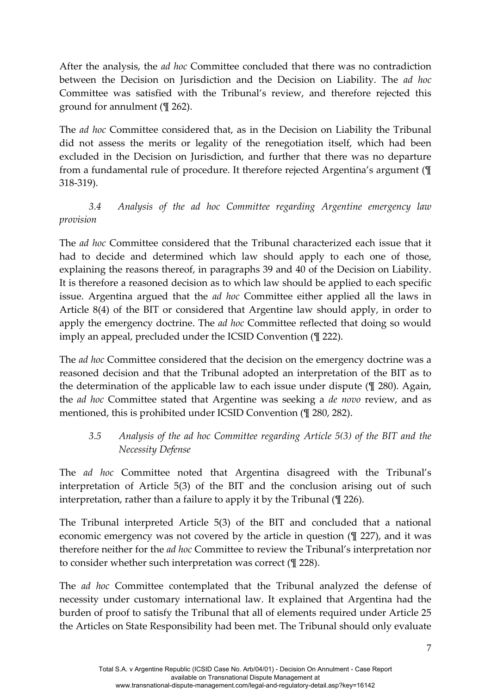After the analysis, the *ad hoc* Committee concluded that there was no contradiction between the Decision on Jurisdiction and the Decision on Liability. The *ad hoc* Committee was satisfied with the Tribunal's review, and therefore rejected this ground for annulment (¶ 262).

The *ad hoc* Committee considered that, as in the Decision on Liability the Tribunal did not assess the merits or legality of the renegotiation itself, which had been excluded in the Decision on Jurisdiction, and further that there was no departure from a fundamental rule of procedure. It therefore rejected Argentina's argument (¶ 318‐319).

# *3.4 Analysis of the ad hoc Committee regarding Argentine emergency law provision*

The *ad hoc* Committee considered that the Tribunal characterized each issue that it had to decide and determined which law should apply to each one of those, explaining the reasons thereof, in paragraphs 39 and 40 of the Decision on Liability. It is therefore a reasoned decision as to which law should be applied to each specific issue. Argentina argued that the *ad hoc* Committee either applied all the laws in Article 8(4) of the BIT or considered that Argentine law should apply, in order to apply the emergency doctrine. The *ad hoc* Committee reflected that doing so would imply an appeal, precluded under the ICSID Convention (¶ 222).

The *ad hoc* Committee considered that the decision on the emergency doctrine was a reasoned decision and that the Tribunal adopted an interpretation of the BIT as to the determination of the applicable law to each issue under dispute (¶ 280). Again, the *ad hoc* Committee stated that Argentine was seeking a *de novo* review, and as mentioned, this is prohibited under ICSID Convention (¶ 280, 282).

*3.5 Analysis of the ad hoc Committee regarding Article 5(3) of the BIT and the Necessity Defense*

The *ad hoc* Committee noted that Argentina disagreed with the Tribunal's interpretation of Article 5(3) of the BIT and the conclusion arising out of such interpretation, rather than a failure to apply it by the Tribunal (¶ 226).

The Tribunal interpreted Article 5(3) of the BIT and concluded that a national economic emergency was not covered by the article in question (¶ 227), and it was therefore neither for the *ad hoc* Committee to review the Tribunal's interpretation nor to consider whether such interpretation was correct (¶ 228).

The *ad hoc* Committee contemplated that the Tribunal analyzed the defense of necessity under customary international law. It explained that Argentina had the burden of proof to satisfy the Tribunal that all of elements required under Article 25 the Articles on State Responsibility had been met. The Tribunal should only evaluate